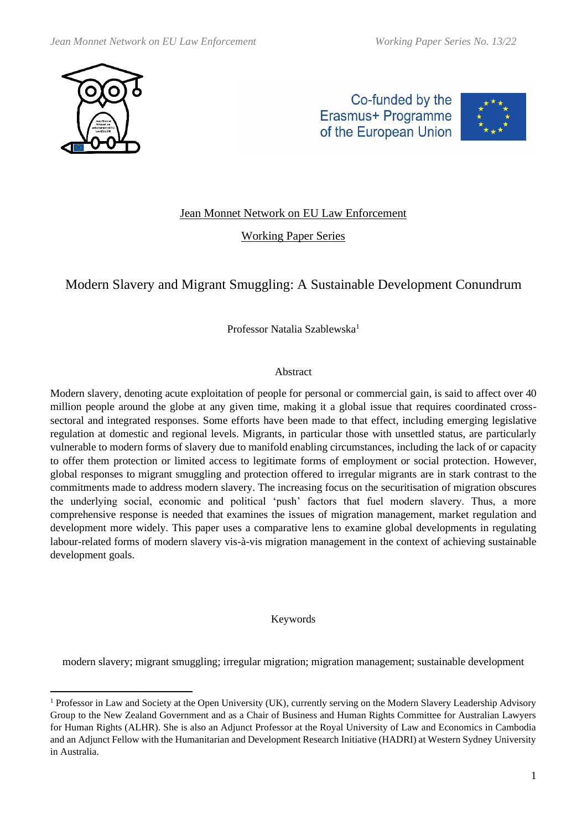

Co-funded by the Erasmus+ Programme of the European Union



# Jean Monnet Network on EU Law Enforcement

Working Paper Series

# Modern Slavery and Migrant Smuggling: A Sustainable Development Conundrum

Professor Natalia Szablewska<sup>1</sup>

### Abstract

Modern slavery, denoting acute exploitation of people for personal or commercial gain, is said to affect over 40 million people around the globe at any given time, making it a global issue that requires coordinated crosssectoral and integrated responses. Some efforts have been made to that effect, including emerging legislative regulation at domestic and regional levels. Migrants, in particular those with unsettled status, are particularly vulnerable to modern forms of slavery due to manifold enabling circumstances, including the lack of or capacity to offer them protection or limited access to legitimate forms of employment or social protection. However, global responses to migrant smuggling and protection offered to irregular migrants are in stark contrast to the commitments made to address modern slavery. The increasing focus on the securitisation of migration obscures the underlying social, economic and political 'push' factors that fuel modern slavery. Thus, a more comprehensive response is needed that examines the issues of migration management, market regulation and development more widely. This paper uses a comparative lens to examine global developments in regulating labour-related forms of modern slavery vis-à-vis migration management in the context of achieving sustainable development goals.

#### Keywords

modern slavery; migrant smuggling; irregular migration; migration management; sustainable development

<sup>&</sup>lt;sup>1</sup> Professor in Law and Society at the Open University (UK), currently serving on the Modern Slavery Leadership Advisory Group to the New Zealand Government and as a Chair of Business and Human Rights Committee for Australian Lawyers for Human Rights [\(ALHR\)](https://alhr.org.au/). She is also an Adjunct Professor at the Royal University of Law and Economics in Cambodia and an Adjunct Fellow with the Humanitarian and Development Research Initiative (HADRI) at Western Sydney University in Australia.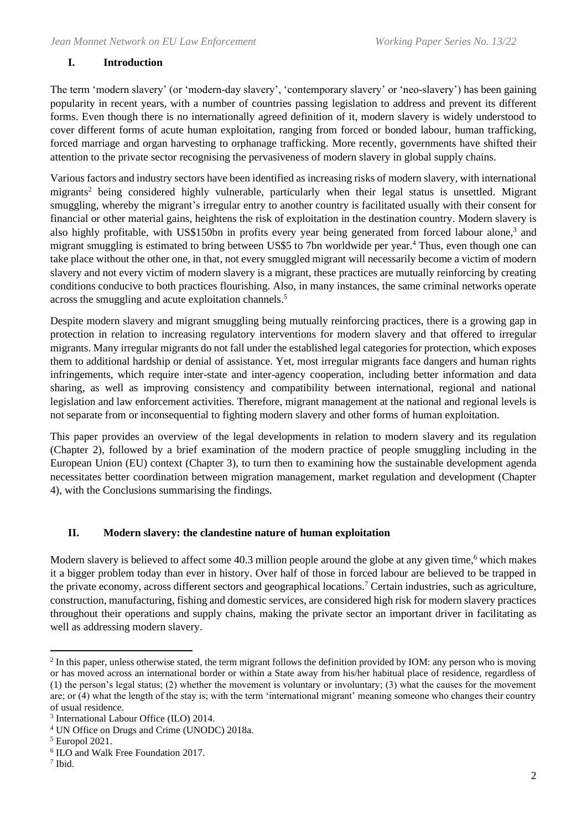## **I. Introduction**

The term 'modern slavery' (or 'modern-day slavery', 'contemporary slavery' or 'neo-slavery') has been gaining popularity in recent years, with a number of countries passing legislation to address and prevent its different forms. Even though there is no internationally agreed definition of it, modern slavery is widely understood to cover different forms of acute human exploitation, ranging from forced or bonded labour, human trafficking, forced marriage and organ harvesting to orphanage trafficking. More recently, governments have shifted their attention to the private sector recognising the pervasiveness of modern slavery in global supply chains.

Various factors and industry sectors have been identified as increasing risks of modern slavery, with international migrants<sup>2</sup> being considered highly vulnerable, particularly when their legal status is unsettled. Migrant smuggling, whereby the migrant's irregular entry to another country is facilitated usually with their consent for financial or other material gains, heightens the risk of exploitation in the destination country. Modern slavery is also highly profitable, with US\$150bn in profits every year being generated from forced labour alone,<sup>3</sup> and migrant smuggling is estimated to bring between US\$5 to 7bn worldwide per year.<sup>4</sup> Thus, even though one can take place without the other one, in that, not every smuggled migrant will necessarily become a victim of modern slavery and not every victim of modern slavery is a migrant, these practices are mutually reinforcing by creating conditions conducive to both practices flourishing. Also, in many instances, the same criminal networks operate across the smuggling and acute exploitation channels. 5

Despite modern slavery and migrant smuggling being mutually reinforcing practices, there is a growing gap in protection in relation to increasing regulatory interventions for modern slavery and that offered to irregular migrants. Many irregular migrants do not fall under the established legal categories for protection, which exposes them to additional hardship or denial of assistance. Yet, most irregular migrants face dangers and human rights infringements, which require inter-state and inter-agency cooperation, including better information and data sharing, as well as improving consistency and compatibility between international, regional and national legislation and law enforcement activities. Therefore, migrant management at the national and regional levels is not separate from or inconsequential to fighting modern slavery and other forms of human exploitation.

This paper provides an overview of the legal developments in relation to modern slavery and its regulation (Chapter 2), followed by a brief examination of the modern practice of people smuggling including in the European Union (EU) context (Chapter 3), to turn then to examining how the sustainable development agenda necessitates better coordination between migration management, market regulation and development (Chapter 4), with the Conclusions summarising the findings.

### **II. Modern slavery: the clandestine nature of human exploitation**

Modern slavery is believed to affect some 40.3 million people around the globe at any given time,<sup>6</sup> which makes it a bigger problem today than ever in history. Over half of those in forced labour are believed to be trapped in the private economy, across different sectors and geographical locations.<sup>7</sup> Certain industries, such as agriculture, construction, manufacturing, fishing and domestic services, are considered high risk for modern slavery practices throughout their operations and supply chains, making the private sector an important driver in facilitating as well as addressing modern slavery.

<sup>&</sup>lt;sup>2</sup> In this paper, unless otherwise stated, the term migrant follows the definition provided by IOM: any person who is moving or has moved across an international border or within a State away from his/her habitual place of residence, regardless of (1) the person's legal status; (2) whether the movement is voluntary or involuntary; (3) what the causes for the movement are; or (4) what the length of the stay is; with the term 'international migrant' meaning someone who changes their country of usual residence.

<sup>3</sup> International Labour Office (ILO) 2014.

<sup>4</sup> UN Office on Drugs and Crime (UNODC) 2018a.

<sup>5</sup> Europol 2021.

<sup>6</sup> ILO and Walk Free Foundation 2017.

<sup>7</sup> Ibid.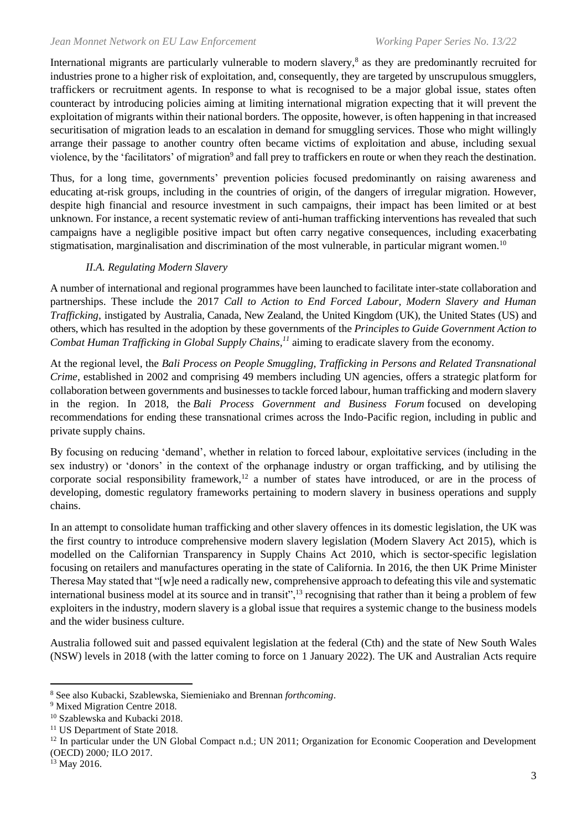International migrants are particularly vulnerable to modern slavery,<sup>8</sup> as they are predominantly recruited for industries prone to a higher risk of exploitation, and, consequently, they are targeted by unscrupulous smugglers, traffickers or recruitment agents. In response to what is recognised to be a major global issue, states often counteract by introducing policies aiming at limiting international migration expecting that it will prevent the exploitation of migrants within their national borders. The opposite, however, is often happening in that increased securitisation of migration leads to an escalation in demand for smuggling services. Those who might willingly arrange their passage to another country often became victims of exploitation and abuse, including sexual violence, by the 'facilitators' of migration<sup>9</sup> and fall prey to traffickers en route or when they reach the destination.

Thus, for a long time, governments' prevention policies focused predominantly on raising awareness and educating at-risk groups, including in the countries of origin, of the dangers of irregular migration. However, despite high financial and resource investment in such campaigns, their impact has been limited or at best unknown. For instance, a recent systematic review of anti-human trafficking interventions has revealed that such campaigns have a negligible positive impact but often carry negative consequences, including exacerbating stigmatisation, marginalisation and discrimination of the most vulnerable, in particular migrant women.<sup>10</sup>

### *II.A. Regulating Modern Slavery*

A number of international and regional programmes have been launched to facilitate inter-state collaboration and partnerships. These include the 2017 *Call to Action to End Forced Labour, Modern Slavery and Human Trafficking*, instigated by Australia, Canada, New Zealand, the United Kingdom (UK), the United States (US) and others, which has resulted in the adoption by these governments of the *Principles to Guide Government Action to Combat Human Trafficking in Global Supply Chains,<sup>11</sup>* aiming to eradicate slavery from the economy.

At the regional level, the *Bali Process on People Smuggling, Trafficking in Persons and Related Transnational Crime*, established in 2002 and comprising 49 members including UN agencies, offers a strategic platform for collaboration between governments and businessesto tackle forced labour, human trafficking and modern slavery in the region. In 2018, the *Bali Process Government and Business Forum* focused on developing recommendations for ending these transnational crimes across the Indo-Pacific region, including in public and private supply chains.

By focusing on reducing 'demand', whether in relation to forced labour, exploitative services (including in the sex industry) or 'donors' in the context of the orphanage industry or organ trafficking, and by utilising the corporate social responsibility framework,<sup>12</sup> a number of states have introduced, or are in the process of developing, domestic regulatory frameworks pertaining to modern slavery in business operations and supply chains.

In an attempt to consolidate human trafficking and other slavery offences in its domestic legislation, the UK was the first country to introduce comprehensive modern slavery legislation (Modern Slavery Act 2015), which is modelled on the Californian Transparency in Supply Chains Act 2010, which is sector-specific legislation focusing on retailers and manufactures operating in the state of California. In 2016, the then UK Prime Minister Theresa May stated that "[w]e need a radically new, comprehensive approach to defeating this vile and systematic international business model at its source and in transit",<sup>13</sup> recognising that rather than it being a problem of few exploiters in the industry, modern slavery is a global issue that requires a systemic change to the business models and the wider business culture.

Australia followed suit and passed equivalent legislation at the federal (Cth) and the state of New South Wales (NSW) levels in 2018 (with the latter coming to force on 1 January 2022). The UK and Australian Acts require

<sup>8</sup> See also Kubacki, Szablewska, Siemieniako and Brennan *forthcoming*.

<sup>&</sup>lt;sup>9</sup> Mixed Migration Centre 2018.

<sup>10</sup> Szablewska and Kubacki 2018.

<sup>&</sup>lt;sup>11</sup> US Department of State 2018.

 $12$  In particular under the UN Global Compact n.d.; UN 2011; Organization for Economic Cooperation and Development (OECD) 2000*;* ILO 2017*.* 

<sup>&</sup>lt;sup>13</sup> May 2016.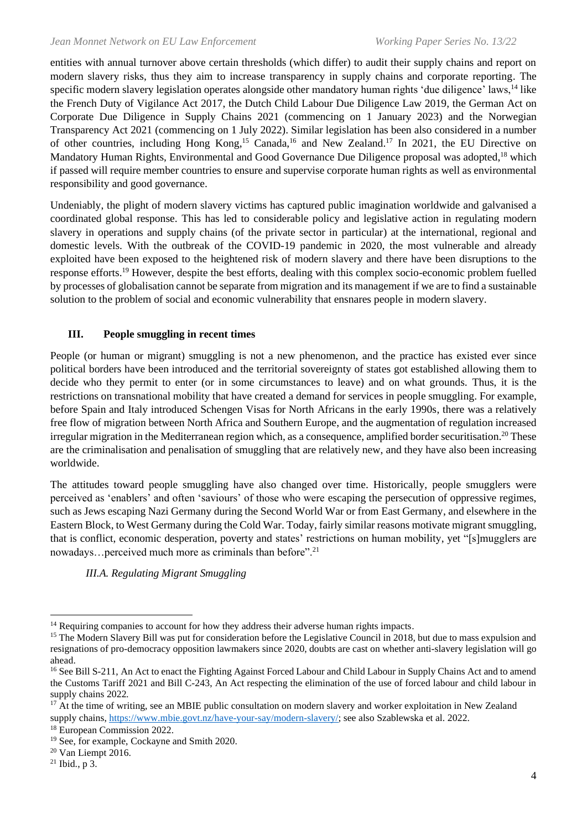entities with annual turnover above certain thresholds (which differ) to audit their supply chains and report on modern slavery risks, thus they aim to increase transparency in supply chains and corporate reporting. The specific modern slavery legislation operates alongside other mandatory human rights 'due diligence' laws,<sup>14</sup> like the French Duty of Vigilance Act 2017, the Dutch Child Labour Due Diligence Law 2019, the German Act on Corporate Due Diligence in Supply Chains 2021 (commencing on 1 January 2023) and the Norwegian Transparency Act 2021 (commencing on 1 July 2022). Similar legislation has been also considered in a number of other countries, including Hong Kong,<sup>15</sup> Canada,<sup>16</sup> and New Zealand.<sup>17</sup> In 2021, the EU Directive on Mandatory Human Rights, Environmental and Good Governance Due Diligence proposal was adopted,<sup>18</sup> which if passed will require member countries to ensure and supervise corporate human rights as well as environmental responsibility and good governance.

Undeniably, the plight of modern slavery victims has captured public imagination worldwide and galvanised a coordinated global response. This has led to considerable policy and legislative action in regulating modern slavery in operations and supply chains (of the private sector in particular) at the international, regional and domestic levels. With the outbreak of the COVID-19 pandemic in 2020, the most vulnerable and already exploited have been exposed to the heightened risk of modern slavery and there have been disruptions to the response efforts.<sup>19</sup> However, despite the best efforts, dealing with this complex socio-economic problem fuelled by processes of globalisation cannot be separate from migration and its management if we are to find a sustainable solution to the problem of social and economic vulnerability that ensnares people in modern slavery.

### **III. People smuggling in recent times**

People (or human or migrant) smuggling is not a new phenomenon, and the practice has existed ever since political borders have been introduced and the territorial sovereignty of states got established allowing them to decide who they permit to enter (or in some circumstances to leave) and on what grounds. Thus, it is the restrictions on transnational mobility that have created a demand for services in people smuggling. For example, before Spain and Italy introduced Schengen Visas for North Africans in the early 1990s, there was a relatively free flow of migration between North Africa and Southern Europe, and the augmentation of regulation increased irregular migration in the Mediterranean region which, as a consequence, amplified border securitisation.<sup>20</sup> These are the criminalisation and penalisation of smuggling that are relatively new, and they have also been increasing worldwide.

The attitudes toward people smuggling have also changed over time. Historically, people smugglers were perceived as 'enablers' and often 'saviours' of those who were escaping the persecution of oppressive regimes, such as Jews escaping Nazi Germany during the Second World War or from East Germany, and elsewhere in the Eastern Block, to West Germany during the Cold War. Today, fairly similar reasons motivate migrant smuggling, that is conflict, economic desperation, poverty and states' restrictions on human mobility, yet "[s]mugglers are nowadays...perceived much more as criminals than before".<sup>21</sup>

*III.A. Regulating Migrant Smuggling* 

<sup>&</sup>lt;sup>14</sup> Requiring companies to account for how they address their adverse human rights impacts.

<sup>&</sup>lt;sup>15</sup> The Modern Slavery Bill was put for consideration before the Legislative Council in 2018, but due to mass expulsion and resignations of pro-democracy opposition lawmakers since 2020, doubts are cast on whether anti-slavery legislation will go ahead.

<sup>&</sup>lt;sup>16</sup> See Bill S-211, An Act to enact the Fighting Against Forced Labour and Child Labour in Supply Chains Act and to amend the Customs Tariff 2021 and Bill C-243, An Act respecting the elimination of the use of forced labour and child labour in supply chains 2022*.* 

<sup>&</sup>lt;sup>17</sup> At the time of writing, see an MBIE public consultation on modern slavery and worker exploitation in New Zealand supply chains, [https://www.mbie.govt.nz/have-your-say/modern-slavery/;](https://www.mbie.govt.nz/have-your-say/modern-slavery/) see also Szablewska et al. 2022.

<sup>18</sup> European Commission 2022.

<sup>&</sup>lt;sup>19</sup> See, for example, Cockayne and Smith 2020.

<sup>20</sup> Van Liempt 2016.

 $21$  Ibid., p 3.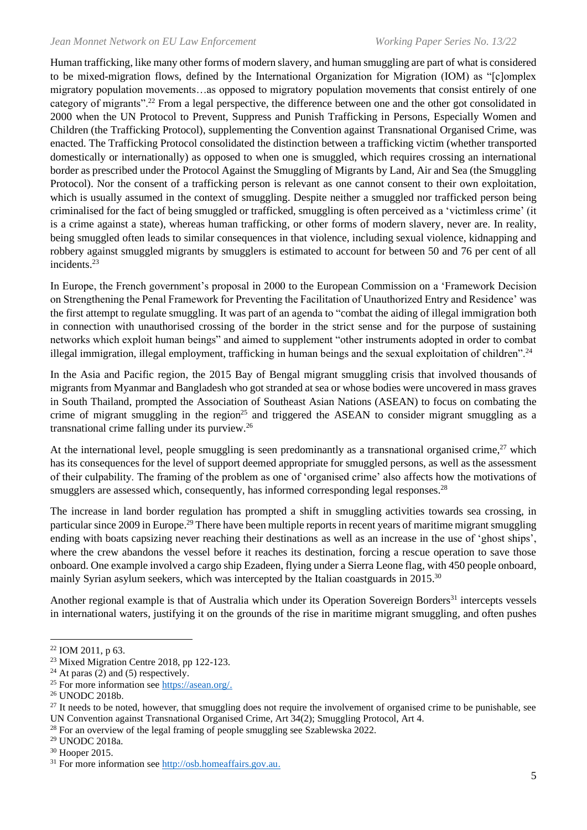Human trafficking, like many other forms of modern slavery, and human smuggling are part of what is considered to be mixed-migration flows, defined by the International Organization for Migration (IOM) as "[c]omplex migratory population movements…as opposed to migratory population movements that consist entirely of one category of migrants".<sup>22</sup> From a legal perspective, the difference between one and the other got consolidated in 2000 when the UN Protocol to Prevent, Suppress and Punish Trafficking in Persons, Especially Women and Children (the Trafficking Protocol), supplementing the Convention against Transnational Organised Crime, was enacted. The Trafficking Protocol consolidated the distinction between a trafficking victim (whether transported domestically or internationally) as opposed to when one is smuggled, which requires crossing an international border as prescribed under the Protocol Against the Smuggling of Migrants by Land, Air and Sea (the Smuggling Protocol). Nor the consent of a trafficking person is relevant as one cannot consent to their own exploitation, which is usually assumed in the context of smuggling. Despite neither a smuggled nor trafficked person being criminalised for the fact of being smuggled or trafficked, smuggling is often perceived as a 'victimless crime' (it is a crime against a state), whereas human trafficking, or other forms of modern slavery, never are. In reality, being smuggled often leads to similar consequences in that violence, including sexual violence, kidnapping and robbery against smuggled migrants by smugglers is estimated to account for between 50 and 76 per cent of all incidents.<sup>23</sup>

In Europe, the French government's proposal in 2000 to the European Commission on a 'Framework Decision on Strengthening the Penal Framework for Preventing the Facilitation of Unauthorized Entry and Residence' was the first attempt to regulate smuggling. It was part of an agenda to "combat the aiding of illegal immigration both in connection with unauthorised crossing of the border in the strict sense and for the purpose of sustaining networks which exploit human beings" and aimed to supplement "other instruments adopted in order to combat illegal immigration, illegal employment, trafficking in human beings and the sexual exploitation of children".<sup>24</sup>

In the Asia and Pacific region, the 2015 Bay of Bengal migrant smuggling crisis that involved thousands of migrants from Myanmar and Bangladesh who got stranded at sea or whose bodies were uncovered in mass graves in South Thailand, prompted the Association of Southeast Asian Nations (ASEAN) to focus on combating the crime of migrant smuggling in the region<sup>25</sup> and triggered the ASEAN to consider migrant smuggling as a transnational crime falling under its purview.<sup>26</sup>

At the international level, people smuggling is seen predominantly as a transnational organised crime, $^{27}$  which has its consequences for the level of support deemed appropriate for smuggled persons, as well as the assessment of their culpability. The framing of the problem as one of 'organised crime' also affects how the motivations of smugglers are assessed which, consequently, has informed corresponding legal responses.<sup>28</sup>

The increase in land border regulation has prompted a shift in smuggling activities towards sea crossing, in particular since 2009 in Europe.<sup>29</sup> There have been multiple reports in recent years of maritime migrant smuggling ending with boats capsizing never reaching their destinations as well as an increase in the use of 'ghost ships', where the crew abandons the vessel before it reaches its destination, forcing a rescue operation to save those onboard. One example involved a cargo ship Ezadeen, flying under a Sierra Leone flag, with 450 people onboard, mainly Syrian asylum seekers, which was intercepted by the Italian coastguards in 2015.<sup>30</sup>

Another regional example is that of Australia which under its Operation Sovereign Borders<sup>31</sup> intercepts vessels in international waters, justifying it on the grounds of the rise in maritime migrant smuggling, and often pushes

<sup>22</sup> IOM 2011, p 63.

<sup>&</sup>lt;sup>23</sup> Mixed Migration Centre 2018, pp 122-123.

 $24$  At paras (2) and (5) respectively.

<sup>25</sup> For more information see [https://asean.org/.](https://asean.org/)

<sup>26</sup> UNODC 2018b.

 $27$  It needs to be noted, however, that smuggling does not require the involvement of organised crime to be punishable, see UN Convention against Transnational Organised Crime, Art 34(2); Smuggling Protocol, Art 4.

<sup>&</sup>lt;sup>28</sup> For an overview of the legal framing of people smuggling see Szablewska 2022.

<sup>29</sup> UNODC 2018a.

<sup>30</sup> Hooper 2015.

<sup>&</sup>lt;sup>31</sup> For more information see [http://osb.homeaffairs.gov.au.](http://osb.homeaffairs.gov.au/)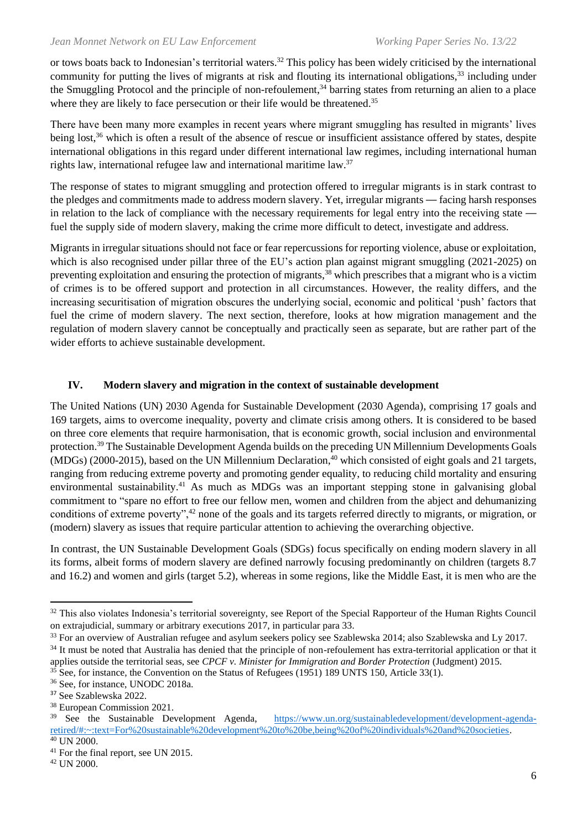or tows boats back to Indonesian's territorial waters.<sup>32</sup> This policy has been widely criticised by the international community for putting the lives of migrants at risk and flouting its international obligations,<sup>33</sup> including under the Smuggling Protocol and the principle of non-refoulement,<sup>34</sup> barring states from returning an alien to a place where they are likely to face persecution or their life would be threatened.<sup>35</sup>

There have been many more examples in recent years where migrant smuggling has resulted in migrants' lives being lost,<sup>36</sup> which is often a result of the absence of rescue or insufficient assistance offered by states, despite international obligations in this regard under different international law regimes, including international human rights law, international refugee law and international maritime law.<sup>37</sup>

The response of states to migrant smuggling and protection offered to irregular migrants is in stark contrast to the pledges and commitments made to address modern slavery. Yet, irregular migrants — facing harsh responses in relation to the lack of compliance with the necessary requirements for legal entry into the receiving state fuel the supply side of modern slavery, making the crime more difficult to detect, investigate and address.

Migrants in irregular situations should not face or fear repercussions for reporting violence, abuse or exploitation, which is also recognised under pillar three of the EU's action plan against migrant smuggling (2021-2025) on preventing exploitation and ensuring the protection of migrants,<sup>38</sup> which prescribes that a migrant who is a victim of crimes is to be offered support and protection in all circumstances. However, the reality differs, and the increasing securitisation of migration obscures the underlying social, economic and political 'push' factors that fuel the crime of modern slavery. The next section, therefore, looks at how migration management and the regulation of modern slavery cannot be conceptually and practically seen as separate, but are rather part of the wider efforts to achieve sustainable development.

### **IV. Modern slavery and migration in the context of sustainable development**

The United Nations (UN) 2030 Agenda for Sustainable Development (2030 Agenda), comprising 17 goals and 169 targets, aims to overcome inequality, poverty and climate crisis among others. It is considered to be based on three core elements that require harmonisation, that is economic growth, social inclusion and environmental protection.<sup>39</sup> The Sustainable Development Agenda builds on the preceding UN Millennium Developments Goals  $(MDGs)$  (2000-2015), based on the UN Millennium Declaration,<sup>40</sup> which consisted of eight goals and 21 targets, ranging from reducing extreme poverty and promoting gender equality, to reducing child mortality and ensuring environmental sustainability.<sup>41</sup> As much as MDGs was an important stepping stone in galvanising global commitment to "spare no effort to free our fellow men, women and children from the abject and dehumanizing conditions of extreme poverty",<sup>42</sup> none of the goals and its targets referred directly to migrants, or migration, or (modern) slavery as issues that require particular attention to achieving the overarching objective.

In contrast, the UN Sustainable Development Goals (SDGs) focus specifically on ending modern slavery in all its forms, albeit forms of modern slavery are defined narrowly focusing predominantly on children (targets 8.7 and 16.2) and women and girls (target 5.2), whereas in some regions, like the Middle East, it is men who are the

<sup>&</sup>lt;sup>32</sup> This also violates Indonesia's territorial sovereignty, see Report of the Special Rapporteur of the Human Rights Council on extrajudicial, summary or arbitrary executions 2017, in particular para 33.

<sup>&</sup>lt;sup>33</sup> For an overview of Australian refugee and asylum seekers policy see Szablewska 2014; also Szablewska and Ly 2017.

<sup>&</sup>lt;sup>34</sup> It must be noted that Australia has denied that the principle of non-refoulement has extra-territorial application or that it applies outside the territorial seas, see *CPCF v. Minister for Immigration and Border Protection* (Judgment) 2015.

<sup>&</sup>lt;sup>35</sup> See, for instance, the Convention on the Status of Refugees (1951) 189 UNTS 150, Article 33(1).

<sup>36</sup> See, for instance, UNODC 2018a.

<sup>37</sup> See Szablewska 2022.

<sup>&</sup>lt;sup>38</sup> European Commission 2021.<br><sup>39</sup> See the Sustainable Development Agenda, [https://www.un.org/sustainabledevelopment/development-agenda](https://www.un.org/sustainabledevelopment/development-agenda-retired/#:~:text=For%20sustainable%20development%20to%20be,being%20of%20individuals%20and%20societies)[retired/#:~:text=For%20sustainable%20development%20to%20be,being%20of%20individuals%20and%20societies.](https://www.un.org/sustainabledevelopment/development-agenda-retired/#:~:text=For%20sustainable%20development%20to%20be,being%20of%20individuals%20and%20societies)

<sup>40</sup> UN 2000.

<sup>&</sup>lt;sup>41</sup> For the final report, see UN 2015.

<sup>42</sup> UN 2000.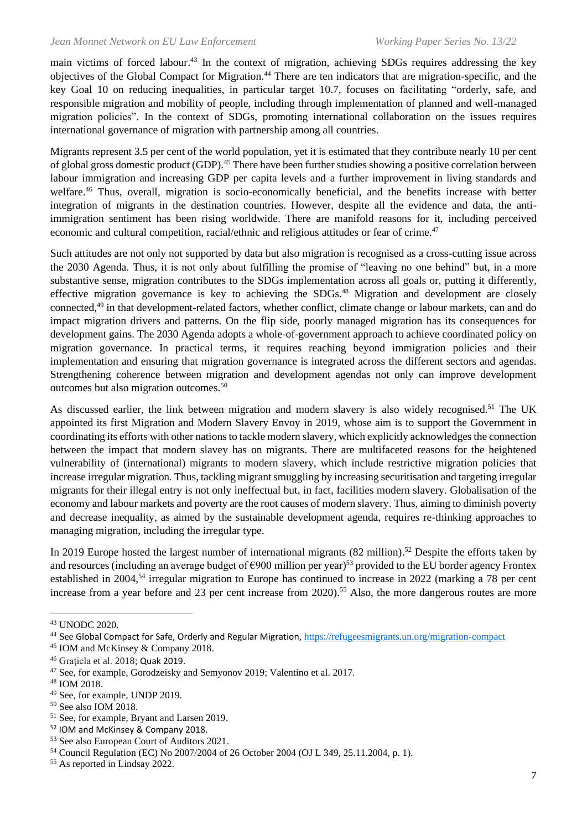main victims of forced labour.<sup>43</sup> In the context of migration, achieving SDGs requires addressing the key objectives of the Global Compact for Migration.<sup>44</sup> There are ten indicators that are migration-specific, and the key Goal 10 on reducing inequalities, in particular target 10.7, focuses on facilitating "orderly, safe, and responsible migration and mobility of people, including through implementation of planned and well-managed migration policies". In the context of SDGs, promoting international collaboration on the issues requires international governance of migration with partnership among all countries.

Migrants represent 3.5 per cent of the world population, yet it is estimated that they contribute nearly 10 per cent of global gross domestic product (GDP).<sup>45</sup> There have been further studies showing a positive correlation between labour immigration and increasing GDP per capita levels and a further improvement in living standards and welfare.<sup>46</sup> Thus, overall, migration is socio-economically beneficial, and the benefits increase with better integration of migrants in the destination countries. However, despite all the evidence and data, the antiimmigration sentiment has been rising worldwide. There are manifold reasons for it, including perceived economic and cultural competition, racial/ethnic and religious attitudes or fear of crime.<sup>47</sup>

Such attitudes are not only not supported by data but also migration is recognised as a cross-cutting issue across the 2030 Agenda. Thus, it is not only about fulfilling the promise of "leaving no one behind" but, in a more substantive sense, migration contributes to the SDGs implementation across all goals or, putting it differently, effective migration governance is key to achieving the SDGs.<sup>48</sup> Migration and development are closely connected,<sup>49</sup> in that development-related factors, whether conflict, climate change or labour markets, can and do impact migration drivers and patterns. On the flip side, poorly managed migration has its consequences for development gains. The 2030 Agenda adopts a whole-of-government approach to achieve coordinated policy on migration governance. In practical terms, it requires reaching beyond immigration policies and their implementation and ensuring that migration governance is integrated across the different sectors and agendas. Strengthening coherence between migration and development agendas not only can improve development outcomes but also migration outcomes.<sup>50</sup>

As discussed earlier, the link between migration and modern slavery is also widely recognised.<sup>51</sup> The UK appointed its first Migration and Modern Slavery Envoy in 2019, whose aim is to support the Government in coordinating its efforts with other nations to tackle modern slavery, which explicitly acknowledges the connection between the impact that modern slavey has on migrants. There are multifaceted reasons for the heightened vulnerability of (international) migrants to modern slavery, which include restrictive migration policies that increase irregular migration. Thus, tackling migrant smuggling by increasing securitisation and targeting irregular migrants for their illegal entry is not only ineffectual but, in fact, facilities modern slavery. Globalisation of the economy and labour markets and poverty are the root causes of modern slavery. Thus, aiming to diminish poverty and decrease inequality, as aimed by the sustainable development agenda, requires re-thinking approaches to managing migration, including the irregular type.

In 2019 Europe hosted the largest number of international migrants (82 million).<sup>52</sup> Despite the efforts taken by and resources (including an average budget of  $\epsilon$ 900 million per year)<sup>53</sup> provided to the EU border agency Frontex established in 2004,<sup>54</sup> irregular migration to Europe has continued to increase in 2022 (marking a 78 per cent increase from a year before and 23 per cent increase from 2020). <sup>55</sup> Also, the more dangerous routes are more

<sup>43</sup> UNODC 2020.

<sup>44</sup> See Global Compact for Safe, Orderly and Regular Migration, <https://refugeesmigrants.un.org/migration-compact>

<sup>45</sup> IOM and McKinsey & Company 2018.

<sup>46</sup> Graţiela et al. 2018; Quak 2019.

<sup>47</sup> See, for example, Gorodzeisky and Semyonov 2019; Valentino et al. 2017.

<sup>48</sup> IOM 2018.

<sup>49</sup> See, for example, UNDP 2019.

<sup>50</sup> See also IOM 2018.

<sup>51</sup> See, for example, Bryant and Larsen 2019.

<sup>52</sup> IOM and McKinsey & Company 2018.

<sup>53</sup> See also European Court of Auditors 2021.

<sup>54</sup> Council Regulation (EC) No 2007/2004 of 26 October 2004 (OJ L 349, 25.11.2004, p. 1).

<sup>55</sup> As reported in Lindsay 2022.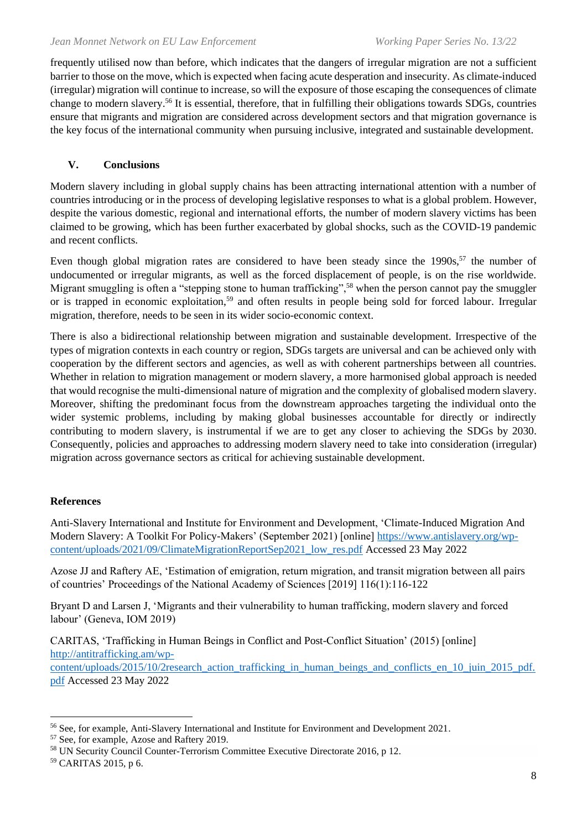frequently utilised now than before, which indicates that the dangers of irregular migration are not a sufficient barrier to those on the move, which is expected when facing acute desperation and insecurity. As climate-induced (irregular) migration will continue to increase, so will the exposure of those escaping the consequences of climate change to modern slavery.<sup>56</sup> It is essential, therefore, that in fulfilling their obligations towards SDGs, countries ensure that migrants and migration are considered across development sectors and that migration governance is the key focus of the international community when pursuing inclusive, integrated and sustainable development.

### **V. Conclusions**

Modern slavery including in global supply chains has been attracting international attention with a number of countries introducing or in the process of developing legislative responses to what is a global problem. However, despite the various domestic, regional and international efforts, the number of modern slavery victims has been claimed to be growing, which has been further exacerbated by global shocks, such as the COVID-19 pandemic and recent conflicts.

Even though global migration rates are considered to have been steady since the 1990s,<sup>57</sup> the number of undocumented or irregular migrants, as well as the forced displacement of people, is on the rise worldwide. Migrant smuggling is often a "stepping stone to human trafficking",<sup>58</sup> when the person cannot pay the smuggler or is trapped in economic exploitation,<sup>59</sup> and often results in people being sold for forced labour. Irregular migration, therefore, needs to be seen in its wider socio-economic context.

There is also a bidirectional relationship between migration and sustainable development. Irrespective of the types of migration contexts in each country or region, SDGs targets are universal and can be achieved only with cooperation by the different sectors and agencies, as well as with coherent partnerships between all countries. Whether in relation to migration management or modern slavery, a more harmonised global approach is needed that would recognise the multi-dimensional nature of migration and the complexity of globalised modern slavery. Moreover, shifting the predominant focus from the downstream approaches targeting the individual onto the wider systemic problems, including by making global businesses accountable for directly or indirectly contributing to modern slavery, is instrumental if we are to get any closer to achieving the SDGs by 2030. Consequently, policies and approaches to addressing modern slavery need to take into consideration (irregular) migration across governance sectors as critical for achieving sustainable development.

### **References**

Anti-Slavery International and Institute for Environment and Development, 'Climate-Induced Migration And Modern Slavery: A Toolkit For Policy-Makers' (September 2021) [online] [https://www.antislavery.org/wp](https://www.antislavery.org/wp-content/uploads/2021/09/ClimateMigrationReportSep2021_low_res.pdf)[content/uploads/2021/09/ClimateMigrationReportSep2021\\_low\\_res.pdf](https://www.antislavery.org/wp-content/uploads/2021/09/ClimateMigrationReportSep2021_low_res.pdf) Accessed 23 May 2022

Azose JJ and Raftery AE, 'Estimation of emigration, return migration, and transit migration between all pairs of countries' Proceedings of the National Academy of Sciences [2019] 116(1):116-122

Bryant D and Larsen J, 'Migrants and their vulnerability to human trafficking, modern slavery and forced labour' (Geneva, IOM 2019)

CARITAS, 'Trafficking in Human Beings in Conflict and Post-Conflict Situation' (2015) [online] [http://antitrafficking.am/wp-](http://antitrafficking.am/wp-content/uploads/2015/10/2research_action_trafficking_in_human_beings_and_conflicts_en_10_juin_2015_pdf.pdf)

[content/uploads/2015/10/2research\\_action\\_trafficking\\_in\\_human\\_beings\\_and\\_conflicts\\_en\\_10\\_juin\\_2015\\_pdf.](http://antitrafficking.am/wp-content/uploads/2015/10/2research_action_trafficking_in_human_beings_and_conflicts_en_10_juin_2015_pdf.pdf) [pdf](http://antitrafficking.am/wp-content/uploads/2015/10/2research_action_trafficking_in_human_beings_and_conflicts_en_10_juin_2015_pdf.pdf) Accessed 23 May 2022

<sup>56</sup> See, for example, Anti-Slavery International and Institute for Environment and Development 2021.

<sup>57</sup> See, for example, Azose and Raftery 2019.

<sup>58</sup> UN Security Council Counter-Terrorism Committee Executive Directorate 2016, p 12.

<sup>59</sup> CARITAS 2015, p 6.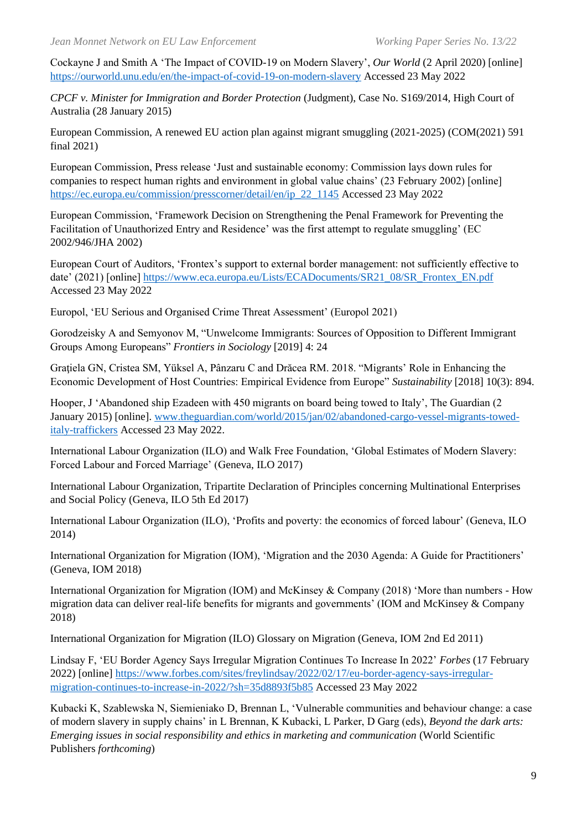Cockayne J and Smith A 'The Impact of COVID-19 on Modern Slavery', *Our World* (2 April 2020) [online] <https://ourworld.unu.edu/en/the-impact-of-covid-19-on-modern-slavery> Accessed 23 May 2022

*CPCF v. Minister for Immigration and Border Protection* (Judgment), Case No. S169/2014, High Court of Australia (28 January 2015)

European Commission, A renewed EU action plan against migrant smuggling (2021-2025) (COM(2021) 591 final 2021)

European Commission, Press release 'Just and sustainable economy: Commission lays down rules for companies to respect human rights and environment in global value chains' (23 February 2002) [online] [https://ec.europa.eu/commission/presscorner/detail/en/ip\\_22\\_1145](https://ec.europa.eu/commission/presscorner/detail/en/ip_22_1145) Accessed 23 May 2022

European Commission, 'Framework Decision on Strengthening the Penal Framework for Preventing the Facilitation of Unauthorized Entry and Residence' was the first attempt to regulate smuggling' (EC 2002/946/JHA 2002)

European Court of Auditors, 'Frontex's support to external border management: not sufficiently effective to date' (2021) [online] [https://www.eca.europa.eu/Lists/ECADocuments/SR21\\_08/SR\\_Frontex\\_EN.pdf](https://www.eca.europa.eu/Lists/ECADocuments/SR21_08/SR_Frontex_EN.pdf) Accessed 23 May 2022

Europol, 'EU Serious and Organised Crime Threat Assessment' (Europol 2021)

Gorodzeisky A and Semyonov M, "Unwelcome Immigrants: Sources of Opposition to Different Immigrant Groups Among Europeans" *Frontiers in Sociology* [2019] 4: 24

Gratiela GN, Cristea SM, Yüksel A, Pânzaru C and Drăcea RM. 2018. "Migrants' Role in Enhancing the Economic Development of Host Countries: Empirical Evidence from Europe" *Sustainability* [2018] 10(3): 894.

Hooper, J 'Abandoned ship Ezadeen with 450 migrants on board being towed to Italy', The Guardian (2 January 2015) [online][. www.theguardian.com/world/2015/jan/02/abandoned-cargo-vessel-migrants-towed](http://www.theguardian.com/world/2015/jan/02/abandoned-cargo-vessel-migrants-towed-italy-traffickers)[italy-traffickers](http://www.theguardian.com/world/2015/jan/02/abandoned-cargo-vessel-migrants-towed-italy-traffickers) Accessed 23 May 2022.

International Labour Organization (ILO) and Walk Free Foundation, 'Global Estimates of Modern Slavery: Forced Labour and Forced Marriage' (Geneva, ILO 2017)

International Labour Organization, Tripartite Declaration of Principles concerning Multinational Enterprises and Social Policy (Geneva, ILO 5th Ed 2017)

International Labour Organization (ILO), 'Profits and poverty: the economics of forced labour' (Geneva, ILO 2014)

International Organization for Migration (IOM), 'Migration and the 2030 Agenda: A Guide for Practitioners' (Geneva, IOM 2018)

International Organization for Migration (IOM) and McKinsey & Company (2018) 'More than numbers - How migration data can deliver real-life benefits for migrants and governments' (IOM and McKinsey & Company 2018)

International Organization for Migration (ILO) Glossary on Migration (Geneva, IOM 2nd Ed 2011)

Lindsay F, 'EU Border Agency Says Irregular Migration Continues To Increase In 2022' *Forbes* (17 February 2022) [online] [https://www.forbes.com/sites/freylindsay/2022/02/17/eu-border-agency-says-irregular](https://www.forbes.com/sites/freylindsay/2022/02/17/eu-border-agency-says-irregular-migration-continues-to-increase-in-2022/?sh=35d8893f5b85)[migration-continues-to-increase-in-2022/?sh=35d8893f5b85](https://www.forbes.com/sites/freylindsay/2022/02/17/eu-border-agency-says-irregular-migration-continues-to-increase-in-2022/?sh=35d8893f5b85) Accessed 23 May 2022

Kubacki K, Szablewska N, Siemieniako D, Brennan L, 'Vulnerable communities and behaviour change: a case of modern slavery in supply chains' in L Brennan, K Kubacki, L Parker, D Garg (eds), *Beyond the dark arts: Emerging issues in social responsibility and ethics in marketing and communication* (World Scientific Publishers *forthcoming*)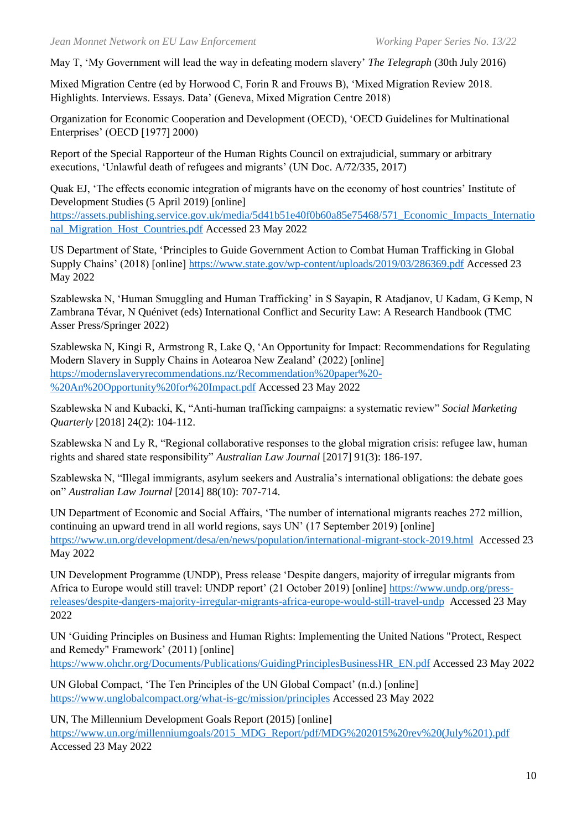May T, 'My Government will lead the way in defeating modern slavery' *The Telegraph* (30th July 2016)

Mixed Migration Centre (ed by Horwood C, Forin R and Frouws B), 'Mixed Migration Review 2018. Highlights. Interviews. Essays. Data' (Geneva, Mixed Migration Centre 2018)

Organization for Economic Cooperation and Development (OECD), 'OECD Guidelines for Multinational Enterprises' (OECD [1977] 2000)

Report of the Special Rapporteur of the Human Rights Council on extrajudicial, summary or arbitrary executions, 'Unlawful death of refugees and migrants' (UN Doc. A/72/335, 2017)

Quak EJ, 'The effects economic integration of migrants have on the economy of host countries' Institute of Development Studies (5 April 2019) [online] [https://assets.publishing.service.gov.uk/media/5d41b51e40f0b60a85e75468/571\\_Economic\\_Impacts\\_Internatio](https://assets.publishing.service.gov.uk/media/5d41b51e40f0b60a85e75468/571_Economic_Impacts_International_Migration_Host_Countries.pdf) [nal\\_Migration\\_Host\\_Countries.pdf](https://assets.publishing.service.gov.uk/media/5d41b51e40f0b60a85e75468/571_Economic_Impacts_International_Migration_Host_Countries.pdf) Accessed 23 May 2022

US Department of State, 'Principles to Guide Government Action to Combat Human Trafficking in Global Supply Chains' (2018) [online]<https://www.state.gov/wp-content/uploads/2019/03/286369.pdf> Accessed 23 May 2022

Szablewska N, 'Human Smuggling and Human Trafficking' in S Sayapin, R Atadjanov, U Kadam, G Kemp, N Zambrana Tévar, N Quénivet (eds) International Conflict and Security Law: A Research Handbook (TMC Asser Press/Springer 2022)

Szablewska N, Kingi R, Armstrong R, Lake Q, 'An Opportunity for Impact: Recommendations for Regulating Modern Slavery in Supply Chains in Aotearoa New Zealand' (2022) [online] [https://modernslaveryrecommendations.nz/Recommendation%20paper%20-](https://modernslaveryrecommendations.nz/Recommendation%20paper%20-%20An%20Opportunity%20for%20Impact.pdf) [%20An%20Opportunity%20for%20Impact.pdf](https://modernslaveryrecommendations.nz/Recommendation%20paper%20-%20An%20Opportunity%20for%20Impact.pdf) Accessed 23 May 2022

Szablewska N and Kubacki, K, "Anti-human trafficking campaigns: a systematic review" *Social Marketing Quarterly* [2018] 24(2): 104-112.

Szablewska N and Ly R, "Regional collaborative responses to the global migration crisis: refugee law, human rights and shared state responsibility" *Australian Law Journal* [2017] 91(3): 186-197.

Szablewska N, "Illegal immigrants, asylum seekers and Australia's international obligations: the debate goes on" *Australian Law Journal* [2014] 88(10): 707-714.

UN Department of Economic and Social Affairs, 'The number of international migrants reaches 272 million, continuing an upward trend in all world regions, says UN' (17 September 2019) [online] <https://www.un.org/development/desa/en/news/population/international-migrant-stock-2019.html> Accessed 23 May 2022

UN Development Programme (UNDP), Press release 'Despite dangers, majority of irregular migrants from Africa to Europe would still travel: UNDP report' (21 October 2019) [online] [https://www.undp.org/press](https://www.undp.org/press-releases/despite-dangers-majority-irregular-migrants-africa-europe-would-still-travel-undp)[releases/despite-dangers-majority-irregular-migrants-africa-europe-would-still-travel-undp](https://www.undp.org/press-releases/despite-dangers-majority-irregular-migrants-africa-europe-would-still-travel-undp) Accessed 23 May 2022

UN 'Guiding Principles on Business and Human Rights: Implementing the United Nations "Protect, Respect and Remedy" Framework' (2011) [online] [https://www.ohchr.org/Documents/Publications/GuidingPrinciplesBusinessHR\\_EN.pdf](https://www.ohchr.org/Documents/Publications/GuidingPrinciplesBusinessHR_EN.pdf) Accessed 23 May 2022

UN Global Compact, 'The Ten Principles of the UN Global Compact' (n.d.) [online] <https://www.unglobalcompact.org/what-is-gc/mission/principles> Accessed 23 May 2022

UN, The Millennium Development Goals Report (2015) [online] [https://www.un.org/millenniumgoals/2015\\_MDG\\_Report/pdf/MDG%202015%20rev%20\(July%201\).pdf](https://www.un.org/millenniumgoals/2015_MDG_Report/pdf/MDG%202015%20rev%20(July%201).pdf) Accessed 23 May 2022